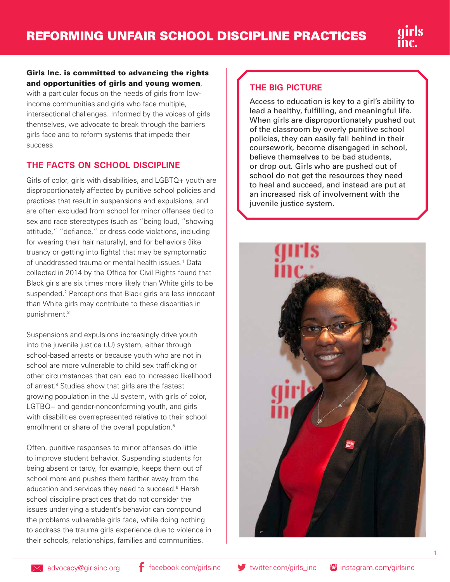## Girls Inc. is committed to advancing the rights and opportunities of girls and young women,

with a particular focus on the needs of girls from lowincome communities and girls who face multiple, intersectional challenges. Informed by the voices of girls themselves, we advocate to break through the barriers girls face and to reform systems that impede their success.

# **THE FACTS ON SCHOOL DISCIPLINE**

Girls of color, girls with disabilities, and LGBTQ+ youth are disproportionately affected by punitive school policies and practices that result in suspensions and expulsions, and are often excluded from school for minor offenses tied to sex and race stereotypes (such as "being loud, "showing attitude," "defiance," or dress code violations, including for wearing their hair naturally), and for behaviors (like truancy or getting into fights) that may be symptomatic of unaddressed trauma or mental health issues.<sup>1</sup> Data collected in 2014 by the Office for Civil Rights found that Black girls are six times more likely than White girls to be suspended.<sup>2</sup> Perceptions that Black girls are less innocent than White girls may contribute to these disparities in punishment.3

Suspensions and expulsions increasingly drive youth into the juvenile justice (JJ) system, either through school-based arrests or because youth who are not in school are more vulnerable to child sex trafficking or other circumstances that can lead to increased likelihood of arrest.<sup>4</sup> Studies show that girls are the fastest growing population in the JJ system, with girls of color, LGTBQ+ and gender-nonconforming youth, and girls with disabilities overrepresented relative to their school enrollment or share of the overall population.<sup>5</sup>

Often, punitive responses to minor offenses do little to improve student behavior. Suspending students for being absent or tardy, for example, keeps them out of school more and pushes them farther away from the education and services they need to succeed.<sup>6</sup> Harsh school discipline practices that do not consider the issues underlying a student's behavior can compound the problems vulnerable girls face, while doing nothing to address the trauma girls experience due to violence in their schools, relationships, families and communities.

### **THE BIG PICTURE**

Access to education is key to a girl's ability to lead a healthy, fulfilling, and meaningful life. When girls are disproportionately pushed out of the classroom by overly punitive school policies, they can easily fall behind in their coursework, become disengaged in school, believe themselves to be bad students, or drop out. Girls who are pushed out of school do not get the resources they need to heal and succeed, and instead are put at an increased risk of involvement with the juvenile justice system.